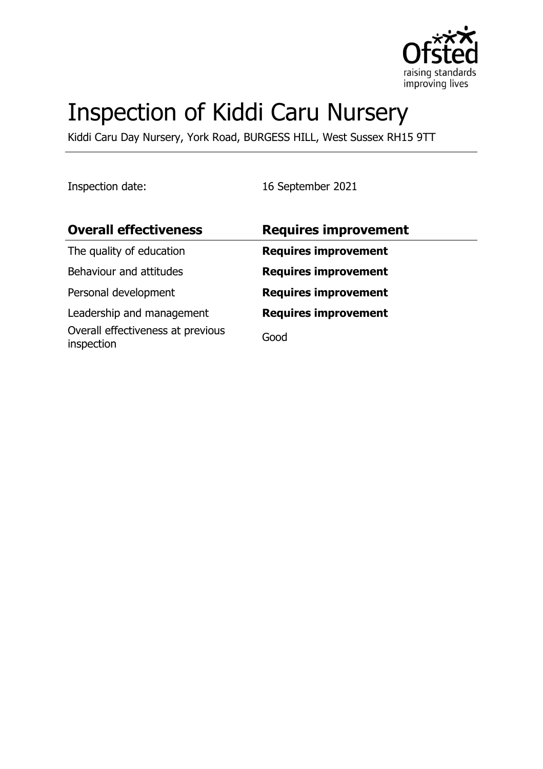

# Inspection of Kiddi Caru Nursery

Kiddi Caru Day Nursery, York Road, BURGESS HILL, West Sussex RH15 9TT

Inspection date: 16 September 2021

| <b>Overall effectiveness</b>                    | <b>Requires improvement</b> |
|-------------------------------------------------|-----------------------------|
| The quality of education                        | <b>Requires improvement</b> |
| Behaviour and attitudes                         | <b>Requires improvement</b> |
| Personal development                            | <b>Requires improvement</b> |
| Leadership and management                       | <b>Requires improvement</b> |
| Overall effectiveness at previous<br>inspection | Good                        |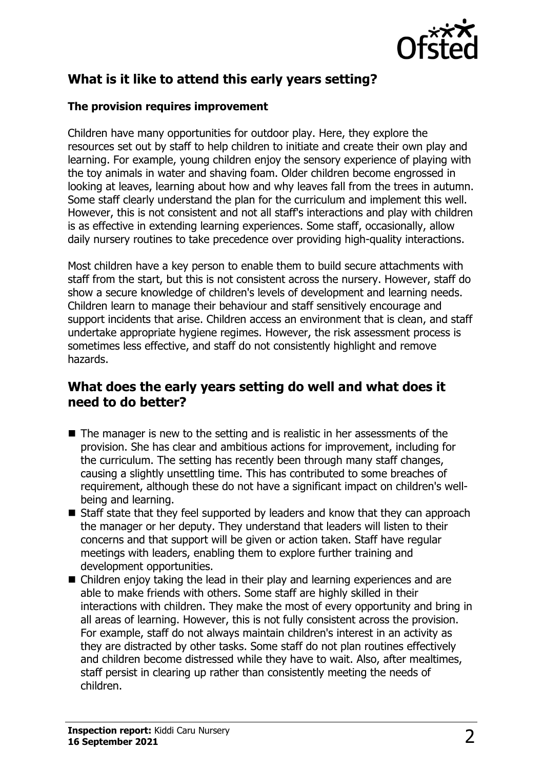

# **What is it like to attend this early years setting?**

#### **The provision requires improvement**

Children have many opportunities for outdoor play. Here, they explore the resources set out by staff to help children to initiate and create their own play and learning. For example, young children enjoy the sensory experience of playing with the toy animals in water and shaving foam. Older children become engrossed in looking at leaves, learning about how and why leaves fall from the trees in autumn. Some staff clearly understand the plan for the curriculum and implement this well. However, this is not consistent and not all staff's interactions and play with children is as effective in extending learning experiences. Some staff, occasionally, allow daily nursery routines to take precedence over providing high-quality interactions.

Most children have a key person to enable them to build secure attachments with staff from the start, but this is not consistent across the nursery. However, staff do show a secure knowledge of children's levels of development and learning needs. Children learn to manage their behaviour and staff sensitively encourage and support incidents that arise. Children access an environment that is clean, and staff undertake appropriate hygiene regimes. However, the risk assessment process is sometimes less effective, and staff do not consistently highlight and remove hazards.

## **What does the early years setting do well and what does it need to do better?**

- $\blacksquare$  The manager is new to the setting and is realistic in her assessments of the provision. She has clear and ambitious actions for improvement, including for the curriculum. The setting has recently been through many staff changes, causing a slightly unsettling time. This has contributed to some breaches of requirement, although these do not have a significant impact on children's wellbeing and learning.
- $\blacksquare$  Staff state that they feel supported by leaders and know that they can approach the manager or her deputy. They understand that leaders will listen to their concerns and that support will be given or action taken. Staff have regular meetings with leaders, enabling them to explore further training and development opportunities.
- $\blacksquare$  Children enjoy taking the lead in their play and learning experiences and are able to make friends with others. Some staff are highly skilled in their interactions with children. They make the most of every opportunity and bring in all areas of learning. However, this is not fully consistent across the provision. For example, staff do not always maintain children's interest in an activity as they are distracted by other tasks. Some staff do not plan routines effectively and children become distressed while they have to wait. Also, after mealtimes, staff persist in clearing up rather than consistently meeting the needs of children.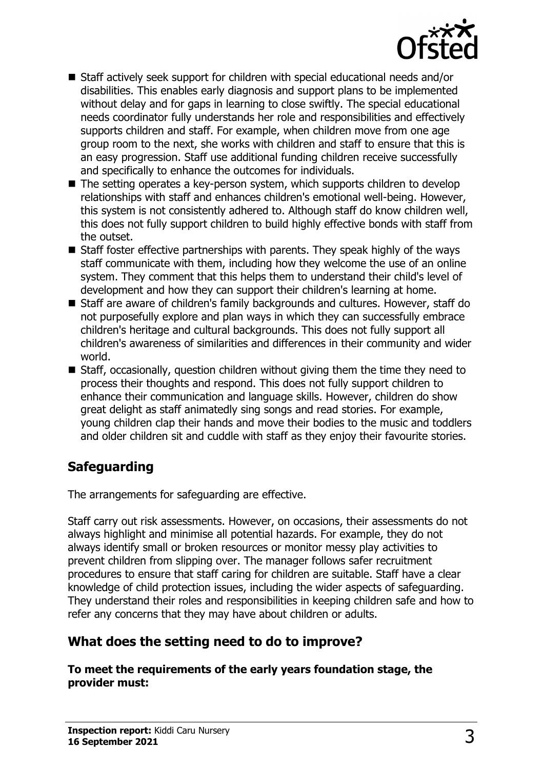

- $\blacksquare$  Staff actively seek support for children with special educational needs and/or disabilities. This enables early diagnosis and support plans to be implemented without delay and for gaps in learning to close swiftly. The special educational needs coordinator fully understands her role and responsibilities and effectively supports children and staff. For example, when children move from one age group room to the next, she works with children and staff to ensure that this is an easy progression. Staff use additional funding children receive successfully and specifically to enhance the outcomes for individuals.
- $\blacksquare$  The setting operates a key-person system, which supports children to develop relationships with staff and enhances children's emotional well-being. However, this system is not consistently adhered to. Although staff do know children well, this does not fully support children to build highly effective bonds with staff from the outset.
- $\blacksquare$  Staff foster effective partnerships with parents. They speak highly of the ways staff communicate with them, including how they welcome the use of an online system. They comment that this helps them to understand their child's level of development and how they can support their children's learning at home.
- Staff are aware of children's family backgrounds and cultures. However, staff do not purposefully explore and plan ways in which they can successfully embrace children's heritage and cultural backgrounds. This does not fully support all children's awareness of similarities and differences in their community and wider world.
- $\blacksquare$  Staff, occasionally, question children without giving them the time they need to process their thoughts and respond. This does not fully support children to enhance their communication and language skills. However, children do show great delight as staff animatedly sing songs and read stories. For example, young children clap their hands and move their bodies to the music and toddlers and older children sit and cuddle with staff as they enjoy their favourite stories.

# **Safeguarding**

The arrangements for safeguarding are effective.

Staff carry out risk assessments. However, on occasions, their assessments do not always highlight and minimise all potential hazards. For example, they do not always identify small or broken resources or monitor messy play activities to prevent children from slipping over. The manager follows safer recruitment procedures to ensure that staff caring for children are suitable. Staff have a clear knowledge of child protection issues, including the wider aspects of safeguarding. They understand their roles and responsibilities in keeping children safe and how to refer any concerns that they may have about children or adults.

# **What does the setting need to do to improve?**

**To meet the requirements of the early years foundation stage, the provider must:**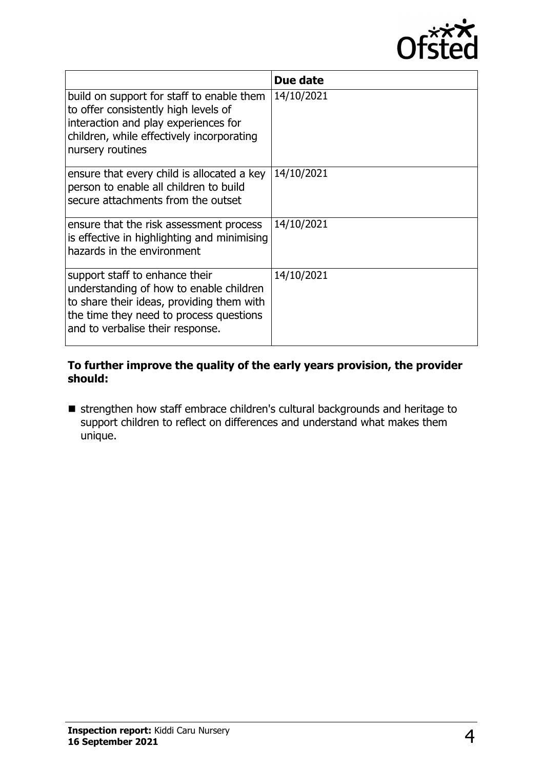

|                                                                                                                                                                                                       | Due date   |
|-------------------------------------------------------------------------------------------------------------------------------------------------------------------------------------------------------|------------|
| build on support for staff to enable them<br>to offer consistently high levels of<br>interaction and play experiences for<br>children, while effectively incorporating<br>nursery routines            | 14/10/2021 |
| ensure that every child is allocated a key<br>person to enable all children to build<br>secure attachments from the outset                                                                            | 14/10/2021 |
| ensure that the risk assessment process<br>is effective in highlighting and minimising<br>hazards in the environment                                                                                  | 14/10/2021 |
| support staff to enhance their<br>understanding of how to enable children<br>to share their ideas, providing them with<br>the time they need to process questions<br>and to verbalise their response. | 14/10/2021 |

#### **To further improve the quality of the early years provision, the provider should:**

**n** strengthen how staff embrace children's cultural backgrounds and heritage to support children to reflect on differences and understand what makes them unique.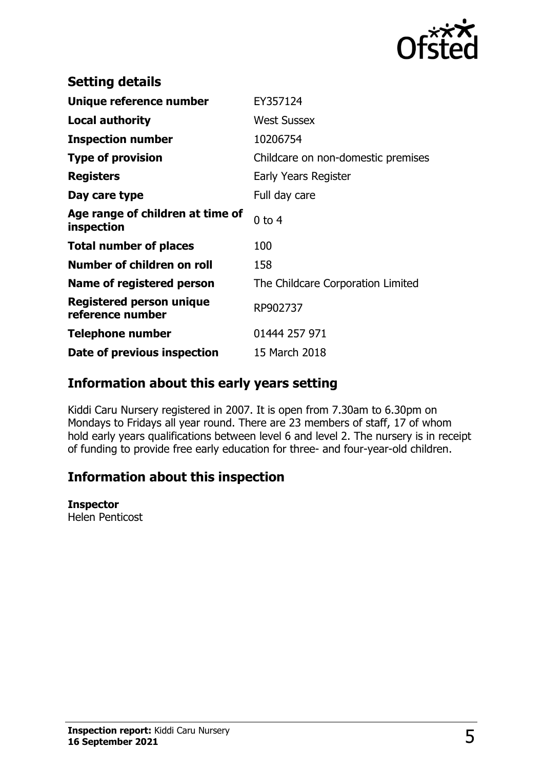

| <b>Setting details</b>                         |                                    |
|------------------------------------------------|------------------------------------|
| Unique reference number                        | EY357124                           |
| <b>Local authority</b>                         | <b>West Sussex</b>                 |
| <b>Inspection number</b>                       | 10206754                           |
| <b>Type of provision</b>                       | Childcare on non-domestic premises |
| <b>Registers</b>                               | Early Years Register               |
| Day care type                                  | Full day care                      |
| Age range of children at time of<br>inspection | $0$ to $4$                         |
| <b>Total number of places</b>                  | 100                                |
| Number of children on roll                     | 158                                |
| Name of registered person                      | The Childcare Corporation Limited  |
| Registered person unique<br>reference number   | RP902737                           |
| <b>Telephone number</b>                        | 01444 257 971                      |
| Date of previous inspection                    | 15 March 2018                      |

## **Information about this early years setting**

Kiddi Caru Nursery registered in 2007. It is open from 7.30am to 6.30pm on Mondays to Fridays all year round. There are 23 members of staff, 17 of whom hold early years qualifications between level 6 and level 2. The nursery is in receipt of funding to provide free early education for three- and four-year-old children.

## **Information about this inspection**

#### **Inspector**

Helen Penticost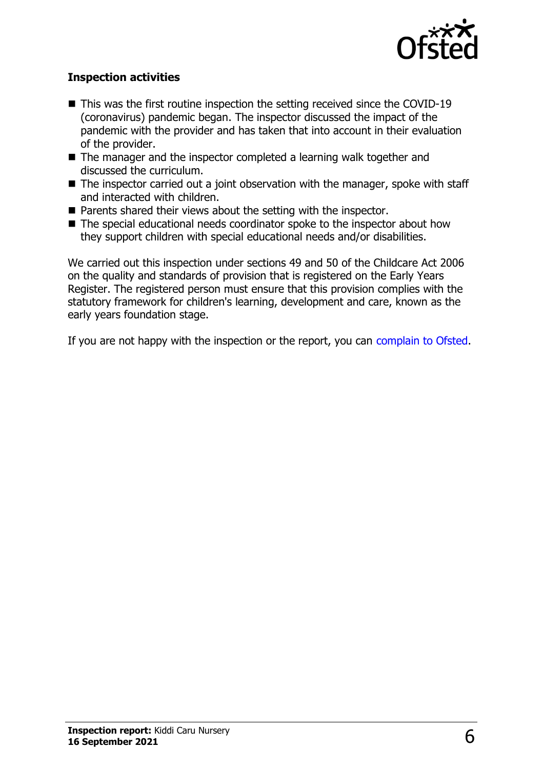

### **Inspection activities**

- $\blacksquare$  This was the first routine inspection the setting received since the COVID-19 (coronavirus) pandemic began. The inspector discussed the impact of the pandemic with the provider and has taken that into account in their evaluation of the provider.
- $\blacksquare$  The manager and the inspector completed a learning walk together and discussed the curriculum.
- $\blacksquare$  The inspector carried out a joint observation with the manager, spoke with staff and interacted with children.
- $\blacksquare$  Parents shared their views about the setting with the inspector.
- $\blacksquare$  The special educational needs coordinator spoke to the inspector about how they support children with special educational needs and/or disabilities.

We carried out this inspection under sections 49 and 50 of the Childcare Act 2006 on the quality and standards of provision that is registered on the Early Years Register. The registered person must ensure that this provision complies with the statutory framework for children's learning, development and care, known as the early years foundation stage.

If you are not happy with the inspection or the report, you can [complain to Ofsted](http://www.gov.uk/complain-ofsted-report).